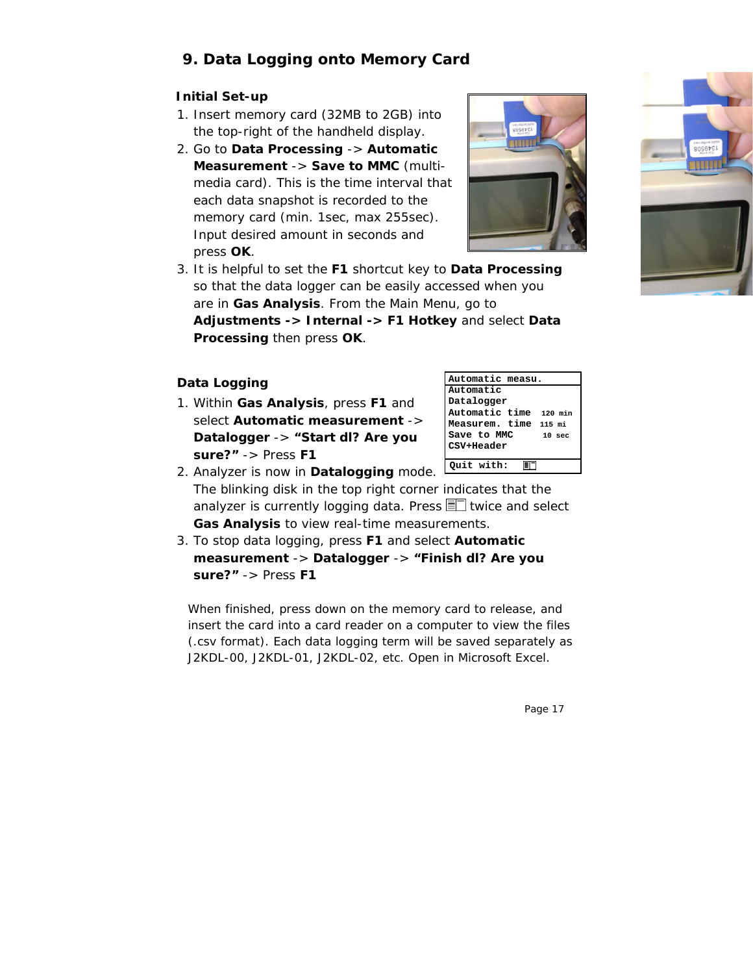## **9. Data Logging onto Memory Card**

## **Initial Set-up**

- 1. Insert memory card (32MB to 2GB) into the top-right of the handheld display.
- 2. Go to **Data Processing** -> **Automatic Measurement** -> **Save to MMC** (multimedia card). This is the time interval that each data snapshot is recorded to the memory card (min. 1sec, max 255sec). Input desired amount in seconds and press **OK**.



3. It is helpful to set the **F1** shortcut key to **Data Processing**  so that the data logger can be easily accessed when you are in **Gas Analysis**. From the Main Menu, go to **Adjustments -> Internal -> F1 Hotkey** and select **Data Processing** then press **OK**.

## **Data Logging**

1. Within **Gas Analysis**, press **F1** and select **Automatic measurement** -> **Datalogger** -> **"Start dl? Are you sure?"** -> Press **F1**

| Automatic measu.       |                   |  |
|------------------------|-------------------|--|
| lAutomatic             |                   |  |
| Datalogger             |                   |  |
| Automatic time 120 min |                   |  |
| Measurem. time 115 mi  |                   |  |
| Save to MMC            | 10 <sub>sec</sub> |  |
| CSV+Header             |                   |  |
|                        |                   |  |
| Quit with:             |                   |  |

- 2. Analyzer is now in **Datalogging** mode. The blinking disk in the top right corner indicates that the analyzer is currently logging data. Press  $\equiv$  twice and select **Gas Analysis** to view real-time measurements.
- 3. To stop data logging, press **F1** and select **Automatic measurement** -> **Datalogger** -> **"Finish dl? Are you sure?"** -> Press **F1**

When finished, press down on the memory card to release, and insert the card into a card reader on a computer to view the files (.csv format). Each data logging term will be saved separately as J2KDL-00, J2KDL-01, J2KDL-02, etc. Open in Microsoft Excel.